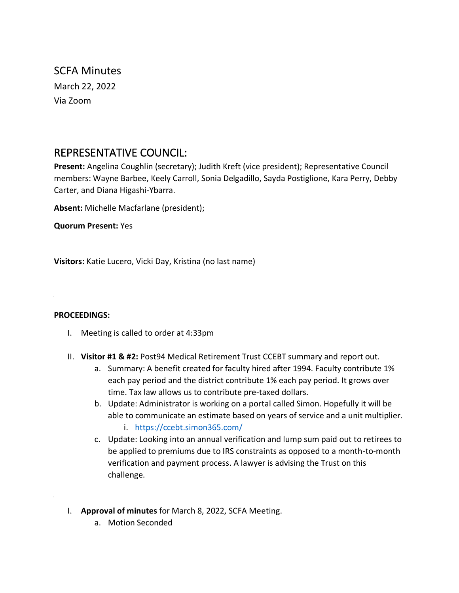SCFA Minutes March 22, 2022 Via Zoom

# REPRESENTATIVE COUNCIL:

**Present:** Angelina Coughlin (secretary); Judith Kreft (vice president); Representative Council members: Wayne Barbee, Keely Carroll, Sonia Delgadillo, Sayda Postiglione, Kara Perry, Debby Carter, and Diana Higashi-Ybarra.

**Absent:** Michelle Macfarlane (president);

**Quorum Present:** Yes

**Visitors:** Katie Lucero, Vicki Day, Kristina (no last name)

#### **PROCEEDINGS:**

- I. Meeting is called to order at 4:33pm
- II. **Visitor #1 & #2:** Post94 Medical Retirement Trust CCEBT summary and report out.
	- a. Summary: A benefit created for faculty hired after 1994. Faculty contribute 1% each pay period and the district contribute 1% each pay period. It grows over time. Tax law allows us to contribute pre-taxed dollars.
	- b. Update: Administrator is working on a portal called Simon. Hopefully it will be able to communicate an estimate based on years of service and a unit multiplier.
		- i. <https://ccebt.simon365.com/>
	- c. Update: Looking into an annual verification and lump sum paid out to retirees to be applied to premiums due to IRS constraints as opposed to a month-to-month verification and payment process. A lawyer is advising the Trust on this challenge.
- I. **Approval of minutes** for March 8, 2022, SCFA Meeting.
	- a. Motion Seconded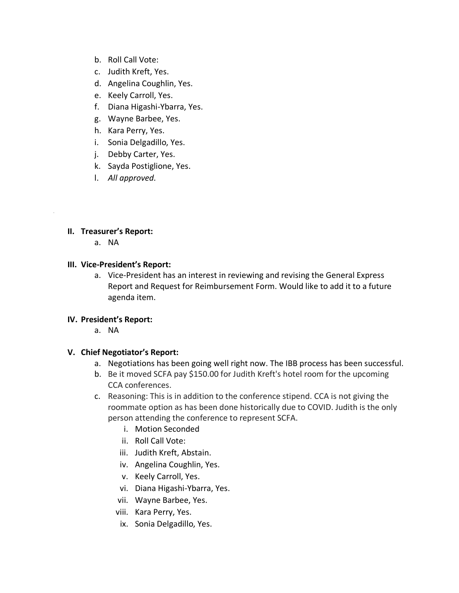- b. Roll Call Vote:
- c. Judith Kreft, Yes.
- d. Angelina Coughlin, Yes.
- e. Keely Carroll, Yes.
- f. Diana Higashi-Ybarra, Yes.
- g. Wayne Barbee, Yes.
- h. Kara Perry, Yes.
- i. Sonia Delgadillo, Yes.
- j. Debby Carter, Yes.
- k. Sayda Postiglione, Yes.
- l. *All approved.*

## **II. Treasurer's Report:**

a. NA

#### **III. Vice-President's Report:**

a. Vice-President has an interest in reviewing and revising the General Express Report and Request for Reimbursement Form. Would like to add it to a future agenda item.

#### **IV. President's Report:**

a. NA

# **V. Chief Negotiator's Report:**

- a. Negotiations has been going well right now. The IBB process has been successful.
- b. Be it moved SCFA pay \$150.00 for Judith Kreft's hotel room for the upcoming CCA conferences.
- c. Reasoning: This is in addition to the conference stipend. CCA is not giving the roommate option as has been done historically due to COVID. Judith is the only person attending the conference to represent SCFA.
	- i. Motion Seconded
	- ii. Roll Call Vote:
	- iii. Judith Kreft, Abstain.
	- iv. Angelina Coughlin, Yes.
	- v. Keely Carroll, Yes.
	- vi. Diana Higashi-Ybarra, Yes.
	- vii. Wayne Barbee, Yes.
	- viii. Kara Perry, Yes.
	- ix. Sonia Delgadillo, Yes.